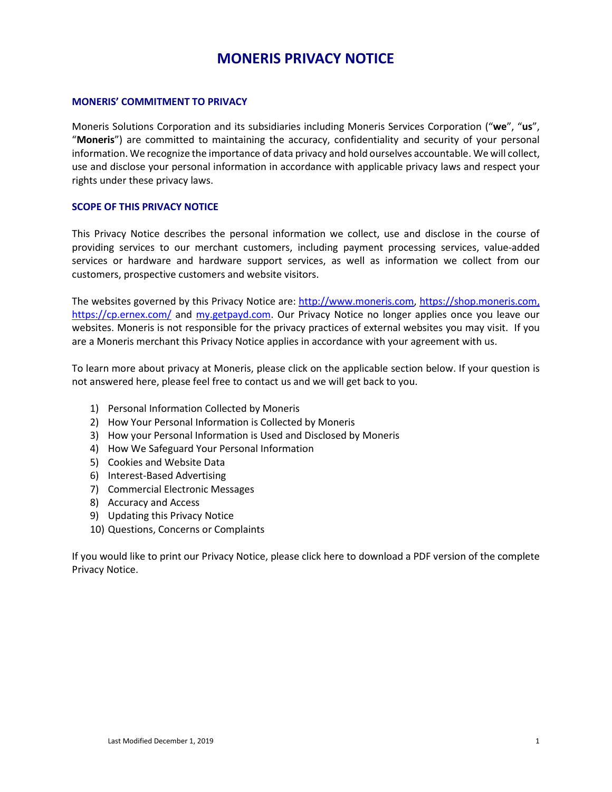# **MONERIS PRIVACY NOTICE**

#### **MONERIS' COMMITMENT TO PRIVACY**

Moneris Solutions Corporation and its subsidiaries including Moneris Services Corporation ("**we**", "**us**", "**Moneris**") are committed to maintaining the accuracy, confidentiality and security of your personal information. We recognize the importance of data privacy and hold ourselves accountable. We will collect, use and disclose your personal information in accordance with applicable privacy laws and respect your rights under these privacy laws.

# **SCOPE OF THIS PRIVACY NOTICE**

This Privacy Notice describes the personal information we collect, use and disclose in the course of providing services to our merchant customers, including payment processing services, value-added services or hardware and hardware support services, as well as information we collect from our customers, prospective customers and website visitors.

The websites governed by this Privacy Notice are: [http://www.moneris.com,](http://www.moneris.com/) [https://shop.moneris.com,](https://shop.moneris.com/) <https://cp.ernex.com/> and my.getpayd.com. Our Privacy Notice no longer applies once you leave our websites. Moneris is not responsible for the privacy practices of external websites you may visit. If you are a Moneris merchant this Privacy Notice applies in accordance with your agreement with us.

To learn more about privacy at Moneris, please click on the applicable section below. If your question is not answered here, please feel free to contact us and we will get back to you.

- 1) Personal Information Collected by Moneris
- 2) How Your Personal Information is Collected by Moneris
- 3) How your Personal Information is Used and Disclosed by Moneris
- 4) How We Safeguard Your Personal Information
- 5) Cookies and Website Data
- 6) Interest-Based Advertising
- 7) Commercial Electronic Messages
- 8) Accuracy and Access
- 9) Updating this Privacy Notice
- 10) Questions, Concerns or Complaints

If you would like to print our Privacy Notice, please click here to download a PDF version of the complete Privacy Notice.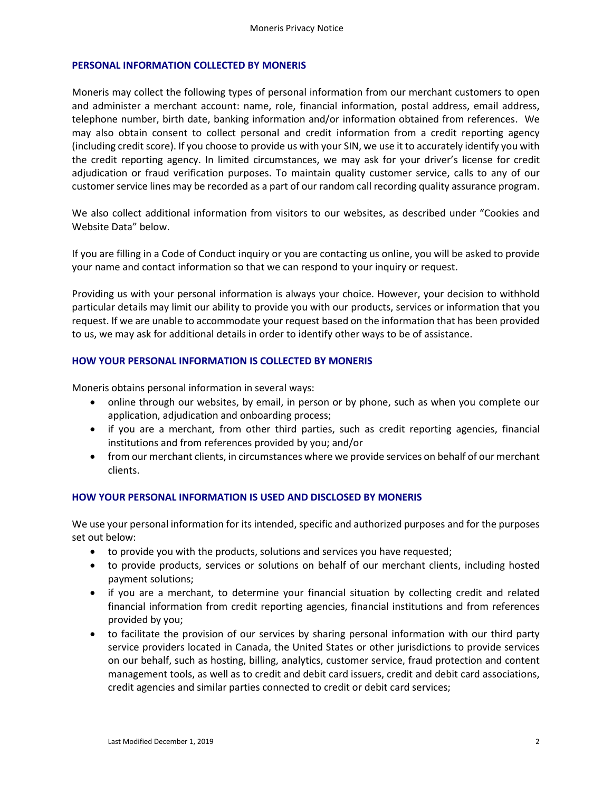#### **PERSONAL INFORMATION COLLECTED BY MONERIS**

Moneris may collect the following types of personal information from our merchant customers to open and administer a merchant account: name, role, financial information, postal address, email address, telephone number, birth date, banking information and/or information obtained from references. We may also obtain consent to collect personal and credit information from a credit reporting agency (including credit score). If you choose to provide us with your SIN, we use it to accurately identify you with the credit reporting agency. In limited circumstances, we may ask for your driver's license for credit adjudication or fraud verification purposes. To maintain quality customer service, calls to any of our customer service lines may be recorded as a part of our random call recording quality assurance program.

We also collect additional information from visitors to our websites, as described under "Cookies and Website Data" below.

If you are filling in a Code of Conduct inquiry or you are contacting us online, you will be asked to provide your name and contact information so that we can respond to your inquiry or request.

Providing us with your personal information is always your choice. However, your decision to withhold particular details may limit our ability to provide you with our products, services or information that you request. If we are unable to accommodate your request based on the information that has been provided to us, we may ask for additional details in order to identify other ways to be of assistance.

#### **HOW YOUR PERSONAL INFORMATION IS COLLECTED BY MONERIS**

Moneris obtains personal information in several ways:

- online through our websites, by email, in person or by phone, such as when you complete our application, adjudication and onboarding process;
- if you are a merchant, from other third parties, such as credit reporting agencies, financial institutions and from references provided by you; and/or
- from our merchant clients, in circumstances where we provide services on behalf of our merchant clients.

# **HOW YOUR PERSONAL INFORMATION IS USED AND DISCLOSED BY MONERIS**

We use your personal information for its intended, specific and authorized purposes and for the purposes set out below:

- to provide you with the products, solutions and services you have requested;
- to provide products, services or solutions on behalf of our merchant clients, including hosted payment solutions;
- if you are a merchant, to determine your financial situation by collecting credit and related financial information from credit reporting agencies, financial institutions and from references provided by you;
- to facilitate the provision of our services by sharing personal information with our third party service providers located in Canada, the United States or other jurisdictions to provide services on our behalf, such as hosting, billing, analytics, customer service, fraud protection and content management tools, as well as to credit and debit card issuers, credit and debit card associations, credit agencies and similar parties connected to credit or debit card services;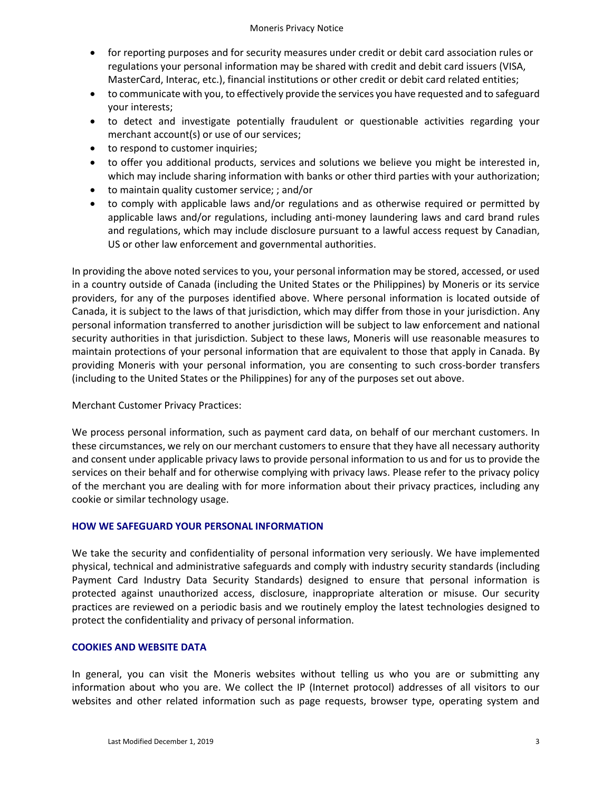- for reporting purposes and for security measures under credit or debit card association rules or regulations your personal information may be shared with credit and debit card issuers (VISA, MasterCard, Interac, etc.), financial institutions or other credit or debit card related entities;
- to communicate with you, to effectively provide the services you have requested and to safeguard your interests;
- to detect and investigate potentially fraudulent or questionable activities regarding your merchant account(s) or use of our services;
- to respond to customer inquiries;
- to offer you additional products, services and solutions we believe you might be interested in, which may include sharing information with banks or other third parties with your authorization;
- to maintain quality customer service; ; and/or
- to comply with applicable laws and/or regulations and as otherwise required or permitted by applicable laws and/or regulations, including anti-money laundering laws and card brand rules and regulations, which may include disclosure pursuant to a lawful access request by Canadian, US or other law enforcement and governmental authorities.

In providing the above noted services to you, your personal information may be stored, accessed, or used in a country outside of Canada (including the United States or the Philippines) by Moneris or its service providers, for any of the purposes identified above. Where personal information is located outside of Canada, it is subject to the laws of that jurisdiction, which may differ from those in your jurisdiction. Any personal information transferred to another jurisdiction will be subject to law enforcement and national security authorities in that jurisdiction. Subject to these laws, Moneris will use reasonable measures to maintain protections of your personal information that are equivalent to those that apply in Canada. By providing Moneris with your personal information, you are consenting to such cross-border transfers (including to the United States or the Philippines) for any of the purposes set out above.

# Merchant Customer Privacy Practices:

We process personal information, such as payment card data, on behalf of our merchant customers. In these circumstances, we rely on our merchant customers to ensure that they have all necessary authority and consent under applicable privacy laws to provide personal information to us and for us to provide the services on their behalf and for otherwise complying with privacy laws. Please refer to the privacy policy of the merchant you are dealing with for more information about their privacy practices, including any cookie or similar technology usage.

#### **HOW WE SAFEGUARD YOUR PERSONAL INFORMATION**

We take the security and confidentiality of personal information very seriously. We have implemented physical, technical and administrative safeguards and comply with industry security standards (including Payment Card Industry Data Security Standards) designed to ensure that personal information is protected against unauthorized access, disclosure, inappropriate alteration or misuse. Our security practices are reviewed on a periodic basis and we routinely employ the latest technologies designed to protect the confidentiality and privacy of personal information.

#### **COOKIES AND WEBSITE DATA**

In general, you can visit the Moneris websites without telling us who you are or submitting any information about who you are. We collect the IP (Internet protocol) addresses of all visitors to our websites and other related information such as page requests, browser type, operating system and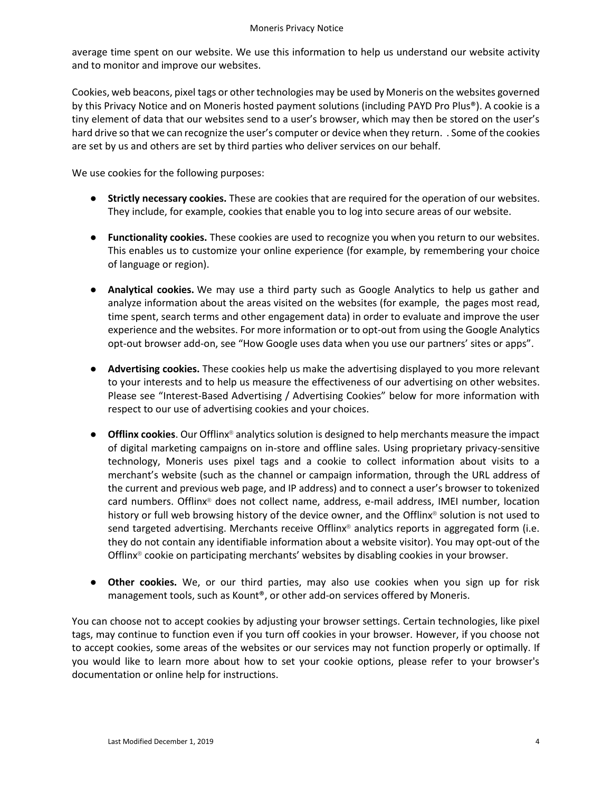#### Moneris Privacy Notice

average time spent on our website. We use this information to help us understand our website activity and to monitor and improve our websites.

Cookies, web beacons, pixel tags or other technologies may be used by Moneris on the websites governed by this Privacy Notice and on Moneris hosted payment solutions (including PAYD Pro Plus®). A cookie is a tiny element of data that our websites send to a user's browser, which may then be stored on the user's hard drive so that we can recognize the user's computer or device when they return. . Some of the cookies are set by us and others are set by third parties who deliver services on our behalf.

We use cookies for the following purposes:

- **Strictly necessary cookies.** These are cookies that are required for the operation of our websites. They include, for example, cookies that enable you to log into secure areas of our website.
- **Functionality cookies.** These cookies are used to recognize you when you return to our websites. This enables us to customize your online experience (for example, by remembering your choice of language or region).
- **Analytical cookies.** We may use a third party such as Google Analytics to help us gather and analyze information about the areas visited on the websites (for example, the pages most read, time spent, search terms and other engagement data) in order to evaluate and improve the user experience and the websites. For more information or to opt-out from using the Google Analytics opt-out browser add-on, see "How Google uses data when you use our partners' sites or apps".
- **Advertising cookies.** These cookies help us make the advertising displayed to you more relevant to your interests and to help us measure the effectiveness of our advertising on other websites. Please see "Interest-Based Advertising / Advertising Cookies" below for more information with respect to our use of advertising cookies and your choices.
- **Offlinx cookies**. Our Offlinx<sup>®</sup> analytics solution is designed to help merchants measure the impact of digital marketing campaigns on in-store and offline sales. Using proprietary privacy-sensitive technology, Moneris uses pixel tags and a cookie to collect information about visits to a merchant's website (such as the channel or campaign information, through the URL address of the current and previous web page, and IP address) and to connect a user's browser to tokenized card numbers. Offlinx® does not collect name, address, e-mail address, IMEI number, location history or full web browsing history of the device owner, and the Offlinx® solution is not used to send targeted advertising. Merchants receive Offlinx® analytics reports in aggregated form (i.e. they do not contain any identifiable information about a website visitor). You may opt-out of the Offlinx® cookie on participating merchants' websites by disabling cookies in your browser.
- **Other cookies.** We, or our third parties, may also use cookies when you sign up for risk management tools, such as Kount®, or other add-on services offered by Moneris.

You can choose not to accept cookies by adjusting your browser settings. Certain technologies, like pixel tags, may continue to function even if you turn off cookies in your browser. However, if you choose not to accept cookies, some areas of the websites or our services may not function properly or optimally. If you would like to learn more about how to set your cookie options, please refer to your browser's documentation or online help for instructions.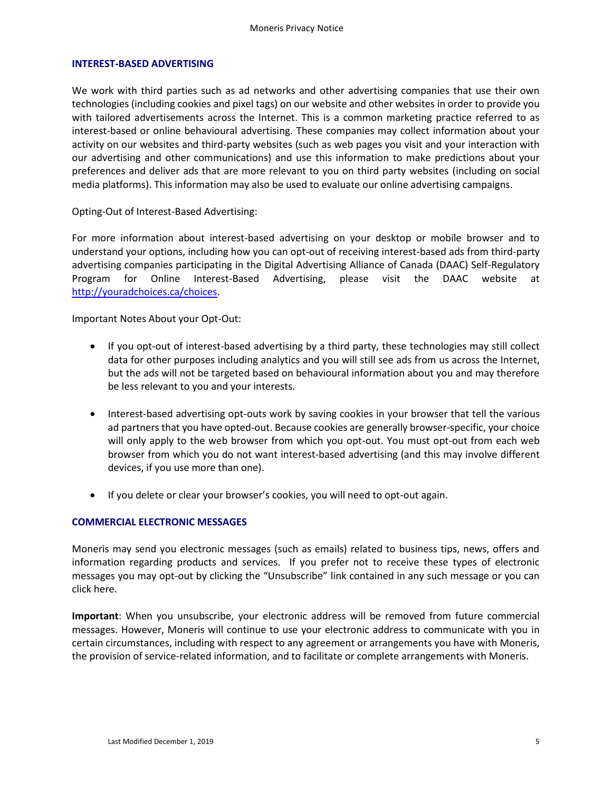#### **INTEREST-BASED ADVERTISING**

We work with third parties such as ad networks and other advertising companies that use their own technologies (including cookies and pixel tags) on our website and other websites in order to provide you with tailored advertisements across the Internet. This is a common marketing practice referred to as interest-based or online behavioural advertising. These companies may collect information about your activity on our websites and third-party websites (such as web pages you visit and your interaction with our advertising and other communications) and use this information to make predictions about your preferences and deliver ads that are more relevant to you on third party websites (including on social media platforms). This information may also be used to evaluate our online advertising campaigns.

Opting-Out of Interest-Based Advertising:

For more information about interest-based advertising on your desktop or mobile browser and to understand your options, including how you can opt-out of receiving interest-based ads from third-party advertising companies participating in the Digital Advertising Alliance of Canada (DAAC) Self-Regulatory Program for Online Interest-Based Advertising, please visit the DAAC website at [http://youradchoices.ca/choices.](http://youradchoices.ca/choices)

Important Notes About your Opt-Out:

- If you opt-out of interest-based advertising by a third party, these technologies may still collect data for other purposes including analytics and you will still see ads from us across the Internet, but the ads will not be targeted based on behavioural information about you and may therefore be less relevant to you and your interests.
- Interest-based advertising opt-outs work by saving cookies in your browser that tell the various ad partners that you have opted-out. Because cookies are generally browser-specific, your choice will only apply to the web browser from which you opt-out. You must opt-out from each web browser from which you do not want interest-based advertising (and this may involve different devices, if you use more than one).
- If you delete or clear your browser's cookies, you will need to opt-out again.

#### **COMMERCIAL ELECTRONIC MESSAGES**

Moneris may send you electronic messages (such as emails) related to business tips, news, offers and information regarding products and services. If you prefer not to receive these types of electronic messages you may opt-out by clicking the "Unsubscribe" link contained in any such message or you can click here.

**Important**: When you unsubscribe, your electronic address will be removed from future commercial messages. However, Moneris will continue to use your electronic address to communicate with you in certain circumstances, including with respect to any agreement or arrangements you have with Moneris, the provision of service-related information, and to facilitate or complete arrangements with Moneris.